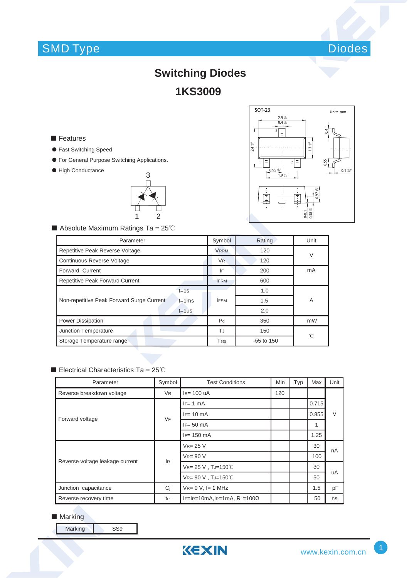# SMD Type



# **Switching Diodes 1KS3009**

### **■** Features

- ƽ Fast Switching Speed
- ƽ For General Purpose Switching Applications.
- ƽ High Conductance





 $\blacksquare$  Absolute Maximum Ratings Ta = 25°C

| Parameter                                              |                             | Rating       | Unit   |  |
|--------------------------------------------------------|-----------------------------|--------------|--------|--|
| Repetitive Peak Reverse Voltage                        |                             | 120          | $\vee$ |  |
| Continuous Reverse Voltage                             | V <sub>R</sub>              | 120          |        |  |
| Forward Current                                        | ١F                          | 200          | mA     |  |
| <b>Repetitive Peak Forward Current</b>                 | <b>FRM</b>                  | 600          |        |  |
| $t = 1s$                                               | <b>IFSM</b>                 | 1.0          | A      |  |
| Non-repetitive Peak Forward Surge Current<br>$t = 1ms$ |                             | 1.5          |        |  |
| $t = 1$ us                                             |                             | 2.0          |        |  |
| <b>Power Dissipation</b>                               | P <sub>d</sub>              | 350          | mW     |  |
| Junction Temperature                                   | TJ<br>150                   |              | °C     |  |
| Storage Temperature range                              | $\mathsf{T}_{\mathsf{stg}}$ | $-55$ to 150 |        |  |

#### Electrical Characteristics Ta =  $25^{\circ}$ C

| Parameter                       | Symbol         | <b>Test Conditions</b>           | Min | Typ | Max   | Unit   |  |
|---------------------------------|----------------|----------------------------------|-----|-----|-------|--------|--|
| Reverse breakdown voltage       | <b>VR</b>      | $IR= 100$ uA                     | 120 |     |       |        |  |
| Forward voltage                 | <b>VF</b>      | $IF = 1 mA$                      |     |     | 0.715 | $\vee$ |  |
|                                 |                | $IF = 10 \text{ mA}$             |     |     | 0.855 |        |  |
|                                 |                | $IF = 50$ mA                     |     |     | 1     |        |  |
|                                 |                | $IF = 150$ mA                    |     |     | 1.25  |        |  |
| Reverse voltage leakage current | l <sub>R</sub> | $V_{R} = 25 V$                   |     |     | 30    | nA     |  |
|                                 |                | $V_{R} = 90 V$                   |     |     | 100   |        |  |
|                                 |                | $V_{R=}$ 25 V, TJ=150°C          |     |     | 30    | uA     |  |
|                                 |                | $V_{R=}$ 90 V, TJ=150°C          |     |     | 50    |        |  |
| Junction capacitance            | C <sub>i</sub> | $V_{R} = 0 V$ , f= 1 MHz         |     |     | 1.5   | pF     |  |
| Reverse recovery time           | trr            | $IF=IR=10mA,IR=1mA,RL=100\Omega$ |     |     | 50    | ns     |  |

### ■ Marking

Marking SS9